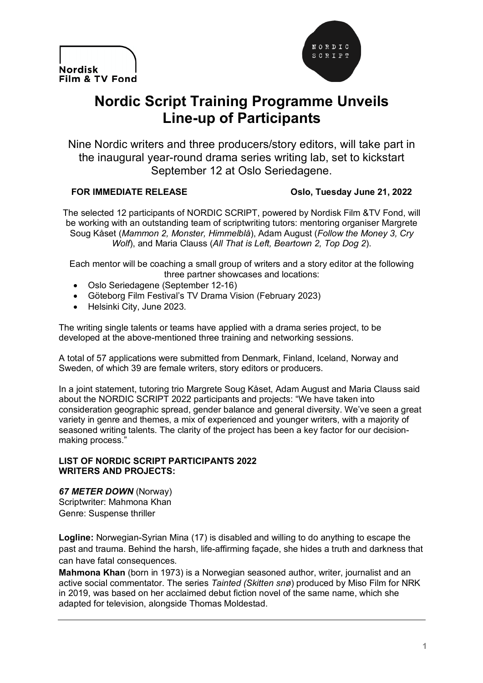



# **Nordic Script Training Programme Unveils Line-up of Participants**

Nine Nordic writers and three producers/story editors, will take part in the inaugural year-round drama series writing lab, set to kickstart September 12 at Oslo Seriedagene.

### **FOR IMMEDIATE RELEASE Oslo, Tuesday June 21, 2022**

The selected 12 participants of NORDIC SCRIPT, powered by Nordisk Film &TV Fond, will be working with an outstanding team of scriptwriting tutors: mentoring organiser Margrete Soug Kåset (*Mammon 2, Monster, Himmelblå*), Adam August (*Follow the Money 3, Cry Wolf*), and Maria Clauss (*All That is Left, Beartown 2, Top Dog 2*).

Each mentor will be coaching a small group of writers and a story editor at the following three partner showcases and locations:

- Oslo Seriedagene (September 12-16)
- Göteborg Film Festival's TV Drama Vision (February 2023)
- Helsinki City, June 2023.

The writing single talents or teams have applied with a drama series project, to be developed at the above-mentioned three training and networking sessions.

A total of 57 applications were submitted from Denmark, Finland, Iceland, Norway and Sweden, of which 39 are female writers, story editors or producers.

In a joint statement, tutoring trio Margrete Soug Kåset, Adam August and Maria Clauss said about the NORDIC SCRIPT 2022 participants and projects: "We have taken into consideration geographic spread, gender balance and general diversity. We've seen a great variety in genre and themes, a mix of experienced and younger writers, with a majority of seasoned writing talents. The clarity of the project has been a key factor for our decisionmaking process."

#### **LIST OF NORDIC SCRIPT PARTICIPANTS 2022 WRITERS AND PROJECTS:**

*67 METER DOWN* (Norway) Scriptwriter: Mahmona Khan Genre: Suspense thriller

**Logline:** Norwegian-Syrian Mina (17) is disabled and willing to do anything to escape the past and trauma. Behind the harsh, life-affirming façade, she hides a truth and darkness that can have fatal consequences.

**Mahmona Khan** (born in 1973) is a Norwegian seasoned author, writer, journalist and an active social commentator. The series *Tainted (Skitten snø*) produced by Miso Film for NRK in 2019, was based on her acclaimed debut fiction novel of the same name, which she adapted for television, alongside Thomas Moldestad.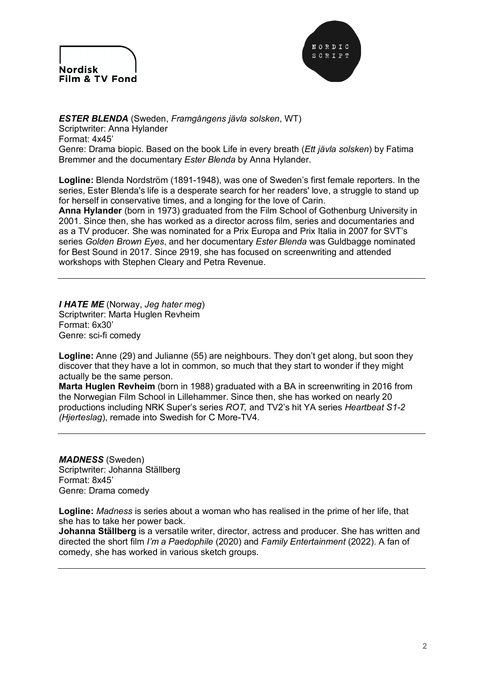



#### *ESTER BLENDA* (Sweden, *Framgångens jävla solsken*, WT)

Scriptwriter: Anna Hylander Format: 4x45' Genre: Drama biopic. Based on the book Life in every breath (*Ett jävla solsken*) by Fatima Bremmer and the documentary *Ester Blenda* by Anna Hylander.

**Logline:** Blenda Nordström (1891-1948), was one of Sweden's first female reporters. In the series, Ester Blenda's life is a desperate search for her readers' love, a struggle to stand up for herself in conservative times, and a longing for the love of Carin.

**Anna Hylander** (born in 1973) graduated from the Film School of Gothenburg University in 2001. Since then, she has worked as a director across film, series and documentaries and as a TV producer. She was nominated for a Prix Europa and Prix Italia in 2007 for SVT's series *Golden Brown Eyes*, and her documentary *Ester Blenda* was Guldbagge nominated for Best Sound in 2017. Since 2919, she has focused on screenwriting and attended workshops with Stephen Cleary and Petra Revenue.

*I HATE ME* (Norway, *Jeg hater meg*) Scriptwriter: Marta Huglen Revheim Format: 6x30' Genre: sci-fi comedy

**Logline:** Anne (29) and Julianne (55) are neighbours. They don't get along, but soon they discover that they have a lot in common, so much that they start to wonder if they might actually be the same person.

**Marta Huglen Revheim** (born in 1988) graduated with a BA in screenwriting in 2016 from the Norwegian Film School in Lillehammer. Since then, she has worked on nearly 20 productions including NRK Super's series *ROT,* and TV2's hit YA series *Heartbeat S1-2 (Hjerteslag*), remade into Swedish for C More-TV4.

*MADNESS* (Sweden) Scriptwriter: Johanna Ställberg Format: 8x45' Genre: Drama comedy

**Logline:** *Madness* is series about a woman who has realised in the prime of her life, that she has to take her power back.

**Johanna Ställberg** is a versatile writer, director, actress and producer. She has written and directed the short film *I'm a Paedophile* (2020) and *Family Entertainment* (2022). A fan of comedy, she has worked in various sketch groups.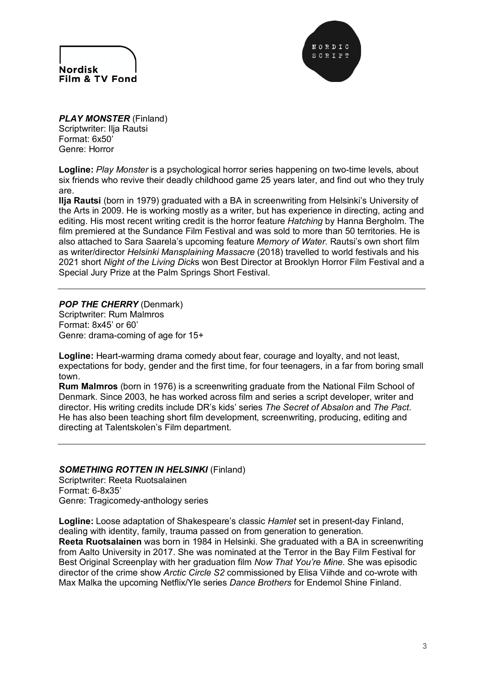



*PLAY MONSTER* (Finland) Scriptwriter: Ilja Rautsi Format: 6x50' Genre: Horror

**Logline:** *Play Monster* is a psychological horror series happening on two-time levels, about six friends who revive their deadly childhood game 25 years later, and find out who they truly are.

**Ilja Rautsi** (born in 1979) graduated with a BA in screenwriting from Helsinki's University of the Arts in 2009. He is working mostly as a writer, but has experience in directing, acting and editing. His most recent writing credit is the horror feature *Hatching* by Hanna Bergholm. The film premiered at the Sundance Film Festival and was sold to more than 50 territories. He is also attached to Sara Saarela's upcoming feature *Memory of Water*. Rautsi's own short film as writer/director *Helsinki Mansplaining Massacre* (2018) travelled to world festivals and his 2021 short *Night of the Living Dick*s won Best Director at Brooklyn Horror Film Festival and a Special Jury Prize at the Palm Springs Short Festival.

## *POP THE CHERRY* (Denmark)

Scriptwriter: Rum Malmros Format: 8x45' or 60' Genre: drama-coming of age for 15+

**Logline:** Heart-warming drama comedy about fear, courage and loyalty, and not least, expectations for body, gender and the first time, for four teenagers, in a far from boring small town.

**Rum Malmros** (born in 1976) is a screenwriting graduate from the National Film School of Denmark. Since 2003, he has worked across film and series a script developer, writer and director. His writing credits include DR's kids' series *The Secret of Absalon* and *The Pact.*  He has also been teaching short film development, screenwriting, producing, editing and directing at Talentskolen's Film department.

#### *SOMETHING ROTTEN IN HELSINKI* (Finland)

Scriptwriter: Reeta Ruotsalainen Format: 6-8x35' Genre: Tragicomedy-anthology series

**Logline:** Loose adaptation of Shakespeare's classic *Hamlet* set in present-day Finland, dealing with identity, family, trauma passed on from generation to generation. **Reeta Ruotsalainen** was born in 1984 in Helsinki. She graduated with a BA in screenwriting from Aalto University in 2017. She was nominated at the Terror in the Bay Film Festival for Best Original Screenplay with her graduation film *Now That You're Mine.* She was episodic director of the crime show *Arctic Circle S2* commissioned by Elisa Viihde and co-wrote with Max Malka the upcoming Netflix/Yle series *Dance Brothers* for Endemol Shine Finland.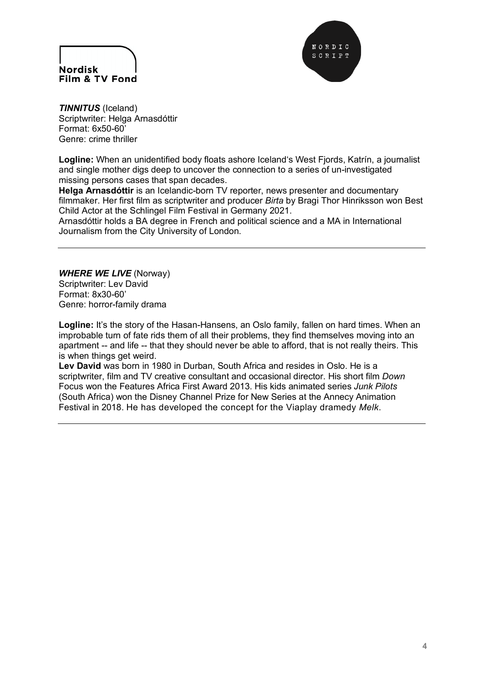



*TINNITUS* (Iceland) Scriptwriter: Helga Arnasdóttir Format: 6x50-60' Genre: crime thriller

**Logline:** When an unidentified body floats ashore Iceland's West Fjords, Katrín, a journalist and single mother digs deep to uncover the connection to a series of un-investigated missing persons cases that span decades.

**Helga Arnasdóttir** is an Icelandic-born TV reporter, news presenter and documentary filmmaker. Her first film as scriptwriter and producer *Birta* by Bragi Thor Hinriksson won Best Child Actor at the Schlingel Film Festival in Germany 2021.

Arnasdóttir holds a BA degree in French and political science and a MA in International Journalism from the City University of London.

*WHERE WE LIVE* (Norway) Scriptwriter: Lev David Format: 8x30-60' Genre: horror-family drama

**Logline:** It's the story of the Hasan-Hansens, an Oslo family, fallen on hard times. When an improbable turn of fate rids them of all their problems, they find themselves moving into an apartment -- and life -- that they should never be able to afford, that is not really theirs. This is when things get weird.

**Lev David** was born in 1980 in Durban, South Africa and resides in Oslo. He is a scriptwriter, film and TV creative consultant and occasional director. His short film *Down* Focus won the Features Africa First Award 2013. His kids animated series *Junk Pilots* (South Africa) won the Disney Channel Prize for New Series at the Annecy Animation Festival in 2018. He has developed the concept for the Viaplay dramedy *Melk*.